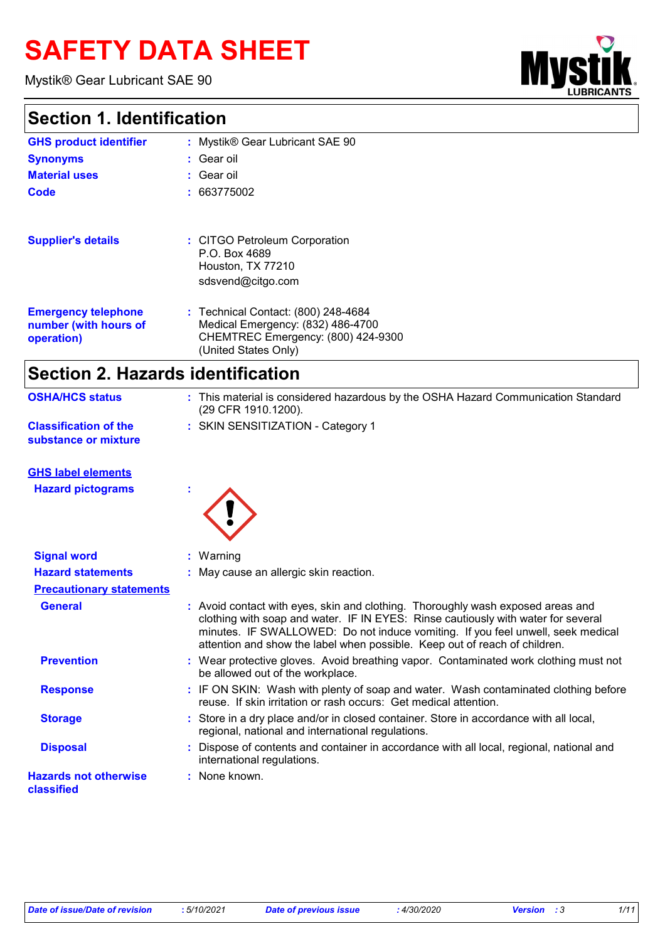# **SAFETY DATA SHEET**

Mystik® Gear Lubricant SAE 90

### **Section 1. Identification**

| OCCHON II IUCHINICANONI                                           |                                                                                                                                        |  |
|-------------------------------------------------------------------|----------------------------------------------------------------------------------------------------------------------------------------|--|
| <b>GHS product identifier</b>                                     | : Mystik® Gear Lubricant SAE 90                                                                                                        |  |
| <b>Synonyms</b>                                                   | : Gear oil                                                                                                                             |  |
| <b>Material uses</b>                                              | : Gear oil                                                                                                                             |  |
| Code                                                              | : 663775002                                                                                                                            |  |
| <b>Supplier's details</b>                                         | : CITGO Petroleum Corporation<br>P.O. Box 4689<br>Houston, TX 77210<br>sdsvend@citgo.com                                               |  |
| <b>Emergency telephone</b><br>number (with hours of<br>operation) | : Technical Contact: (800) 248-4684<br>Medical Emergency: (832) 486-4700<br>CHEMTREC Emergency: (800) 424-9300<br>(United States Only) |  |

### **Section 2. Hazards identification**

| <b>OSHA/HCS status</b>                               | : This material is considered hazardous by the OSHA Hazard Communication Standard<br>(29 CFR 1910.1200). |
|------------------------------------------------------|----------------------------------------------------------------------------------------------------------|
| <b>Classification of the</b><br>substance or mixture | : SKIN SENSITIZATION - Category 1                                                                        |

**GHS label elements**

**Hazard pictograms :**



| : May cause an allergic skin reaction.<br><b>Hazard statements</b><br><b>Precautionary statements</b><br>: Avoid contact with eyes, skin and clothing. Thoroughly wash exposed areas and<br><b>General</b><br>clothing with soap and water. IF IN EYES: Rinse cautiously with water for several<br>minutes. IF SWALLOWED: Do not induce vomiting. If you feel unwell, seek medical<br>attention and show the label when possible. Keep out of reach of children.<br><b>Prevention</b><br>: Wear protective gloves. Avoid breathing vapor. Contaminated work clothing must not<br>be allowed out of the workplace.<br>: IF ON SKIN: Wash with plenty of soap and water. Wash contaminated clothing before<br><b>Response</b><br>reuse. If skin irritation or rash occurs: Get medical attention.<br>: Store in a dry place and/or in closed container. Store in accordance with all local,<br><b>Storage</b><br>regional, national and international regulations.<br>: Dispose of contents and container in accordance with all local, regional, national and<br><b>Disposal</b><br>international regulations.<br>: None known. | <b>Signal word</b>                         | $:$ Warning |
|--------------------------------------------------------------------------------------------------------------------------------------------------------------------------------------------------------------------------------------------------------------------------------------------------------------------------------------------------------------------------------------------------------------------------------------------------------------------------------------------------------------------------------------------------------------------------------------------------------------------------------------------------------------------------------------------------------------------------------------------------------------------------------------------------------------------------------------------------------------------------------------------------------------------------------------------------------------------------------------------------------------------------------------------------------------------------------------------------------------------------------|--------------------------------------------|-------------|
|                                                                                                                                                                                                                                                                                                                                                                                                                                                                                                                                                                                                                                                                                                                                                                                                                                                                                                                                                                                                                                                                                                                                |                                            |             |
|                                                                                                                                                                                                                                                                                                                                                                                                                                                                                                                                                                                                                                                                                                                                                                                                                                                                                                                                                                                                                                                                                                                                |                                            |             |
|                                                                                                                                                                                                                                                                                                                                                                                                                                                                                                                                                                                                                                                                                                                                                                                                                                                                                                                                                                                                                                                                                                                                |                                            |             |
|                                                                                                                                                                                                                                                                                                                                                                                                                                                                                                                                                                                                                                                                                                                                                                                                                                                                                                                                                                                                                                                                                                                                |                                            |             |
|                                                                                                                                                                                                                                                                                                                                                                                                                                                                                                                                                                                                                                                                                                                                                                                                                                                                                                                                                                                                                                                                                                                                |                                            |             |
|                                                                                                                                                                                                                                                                                                                                                                                                                                                                                                                                                                                                                                                                                                                                                                                                                                                                                                                                                                                                                                                                                                                                |                                            |             |
|                                                                                                                                                                                                                                                                                                                                                                                                                                                                                                                                                                                                                                                                                                                                                                                                                                                                                                                                                                                                                                                                                                                                |                                            |             |
|                                                                                                                                                                                                                                                                                                                                                                                                                                                                                                                                                                                                                                                                                                                                                                                                                                                                                                                                                                                                                                                                                                                                | <b>Hazards not otherwise</b><br>classified |             |

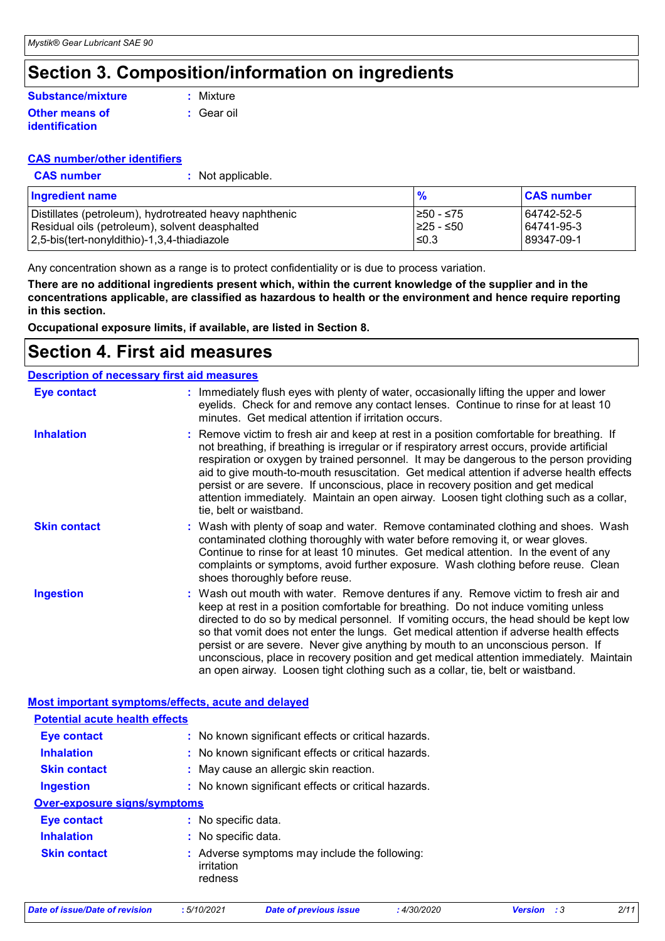### **Section 3. Composition/information on ingredients**

#### **Other means of identification Substance/mixture**

**:** Gear oil **:** Mixture

## **CAS number/other identifiers**

**CAS number :** Not applicable.

| Ingredient name                                        | $\frac{9}{6}$ | <b>CAS number</b> |
|--------------------------------------------------------|---------------|-------------------|
| Distillates (petroleum), hydrotreated heavy naphthenic | 1≥50 - ≤75    | 64742-52-5        |
| Residual oils (petroleum), solvent deasphalted         | I≥25 - ≤50    | 64741-95-3        |
| 2,5-bis(tert-nonyldithio)-1,3,4-thiadiazole            | $\leq 0.3$    | 89347-09-1        |

Any concentration shown as a range is to protect confidentiality or is due to process variation.

**There are no additional ingredients present which, within the current knowledge of the supplier and in the concentrations applicable, are classified as hazardous to health or the environment and hence require reporting in this section.**

**Occupational exposure limits, if available, are listed in Section 8.**

### **Section 4. First aid measures**

|                     | <b>Description of necessary first aid measures</b>                                                                                                                                                                                                                                                                                                                                                                                                                                                                                                                                                                                 |
|---------------------|------------------------------------------------------------------------------------------------------------------------------------------------------------------------------------------------------------------------------------------------------------------------------------------------------------------------------------------------------------------------------------------------------------------------------------------------------------------------------------------------------------------------------------------------------------------------------------------------------------------------------------|
| <b>Eye contact</b>  | : Immediately flush eyes with plenty of water, occasionally lifting the upper and lower<br>eyelids. Check for and remove any contact lenses. Continue to rinse for at least 10<br>minutes. Get medical attention if irritation occurs.                                                                                                                                                                                                                                                                                                                                                                                             |
| <b>Inhalation</b>   | : Remove victim to fresh air and keep at rest in a position comfortable for breathing. If<br>not breathing, if breathing is irregular or if respiratory arrest occurs, provide artificial<br>respiration or oxygen by trained personnel. It may be dangerous to the person providing<br>aid to give mouth-to-mouth resuscitation. Get medical attention if adverse health effects<br>persist or are severe. If unconscious, place in recovery position and get medical<br>attention immediately. Maintain an open airway. Loosen tight clothing such as a collar,<br>tie, belt or waistband.                                       |
| <b>Skin contact</b> | : Wash with plenty of soap and water. Remove contaminated clothing and shoes. Wash<br>contaminated clothing thoroughly with water before removing it, or wear gloves.<br>Continue to rinse for at least 10 minutes. Get medical attention. In the event of any<br>complaints or symptoms, avoid further exposure. Wash clothing before reuse. Clean<br>shoes thoroughly before reuse.                                                                                                                                                                                                                                              |
| <b>Ingestion</b>    | : Wash out mouth with water. Remove dentures if any. Remove victim to fresh air and<br>keep at rest in a position comfortable for breathing. Do not induce vomiting unless<br>directed to do so by medical personnel. If vomiting occurs, the head should be kept low<br>so that vomit does not enter the lungs. Get medical attention if adverse health effects<br>persist or are severe. Never give anything by mouth to an unconscious person. If<br>unconscious, place in recovery position and get medical attention immediately. Maintain<br>an open airway. Loosen tight clothing such as a collar, tie, belt or waistband. |

|                                       | <b>Most important symptoms/effects, acute and delayed</b>              |  |
|---------------------------------------|------------------------------------------------------------------------|--|
| <b>Potential acute health effects</b> |                                                                        |  |
| <b>Eye contact</b>                    | : No known significant effects or critical hazards.                    |  |
| <b>Inhalation</b>                     | : No known significant effects or critical hazards.                    |  |
| <b>Skin contact</b>                   | : May cause an allergic skin reaction.                                 |  |
| <b>Ingestion</b>                      | : No known significant effects or critical hazards.                    |  |
| <b>Over-exposure signs/symptoms</b>   |                                                                        |  |
| <b>Eye contact</b>                    | : No specific data.                                                    |  |
| <b>Inhalation</b>                     | : No specific data.                                                    |  |
| <b>Skin contact</b>                   | : Adverse symptoms may include the following:<br>irritation<br>redness |  |

|  |  | Date of issue/Date of revision |  |  |  |
|--|--|--------------------------------|--|--|--|
|--|--|--------------------------------|--|--|--|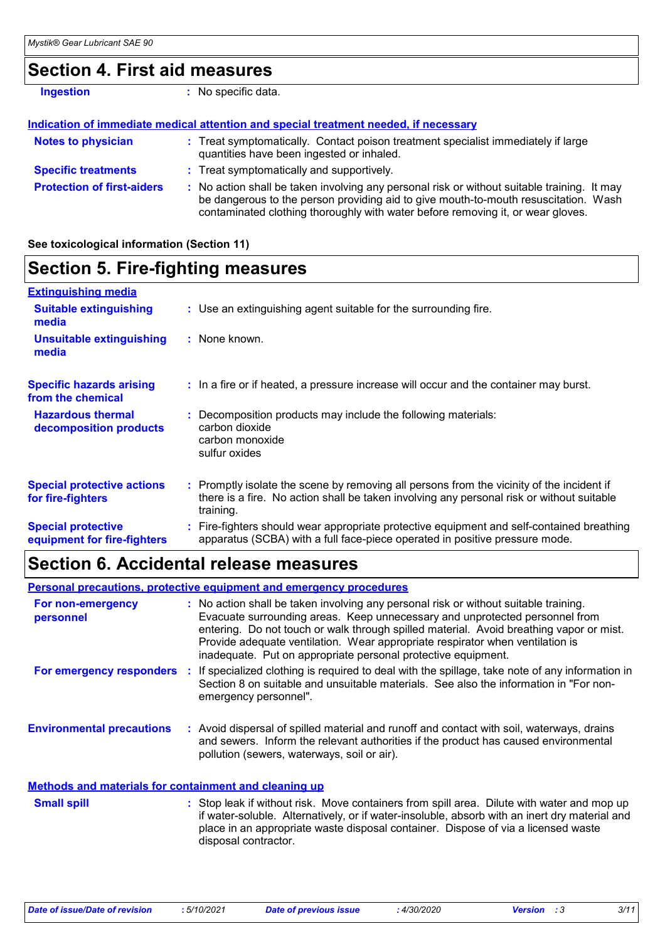### **Section 4. First aid measures**

| <b>Ingestion</b>                  | No specific data.                                                                                                                                                                                                                                                     |
|-----------------------------------|-----------------------------------------------------------------------------------------------------------------------------------------------------------------------------------------------------------------------------------------------------------------------|
|                                   | Indication of immediate medical attention and special treatment needed, if necessary                                                                                                                                                                                  |
| <b>Notes to physician</b>         | : Treat symptomatically. Contact poison treatment specialist immediately if large<br>quantities have been ingested or inhaled.                                                                                                                                        |
| <b>Specific treatments</b>        | : Treat symptomatically and supportively.                                                                                                                                                                                                                             |
| <b>Protection of first-aiders</b> | : No action shall be taken involving any personal risk or without suitable training. It may<br>be dangerous to the person providing aid to give mouth-to-mouth resuscitation. Wash<br>contaminated clothing thoroughly with water before removing it, or wear gloves. |

#### **See toxicological information (Section 11)**

### **Section 5. Fire-fighting measures**

| <b>Extinguishing media</b>                               |                                                                                                                                                                                                     |
|----------------------------------------------------------|-----------------------------------------------------------------------------------------------------------------------------------------------------------------------------------------------------|
| <b>Suitable extinguishing</b><br>media                   | : Use an extinguishing agent suitable for the surrounding fire.                                                                                                                                     |
| <b>Unsuitable extinguishing</b><br>media                 | : None known.                                                                                                                                                                                       |
| <b>Specific hazards arising</b><br>from the chemical     | : In a fire or if heated, a pressure increase will occur and the container may burst.                                                                                                               |
| <b>Hazardous thermal</b><br>decomposition products       | Decomposition products may include the following materials:<br>carbon dioxide<br>carbon monoxide<br>sulfur oxides                                                                                   |
| <b>Special protective actions</b><br>for fire-fighters   | : Promptly isolate the scene by removing all persons from the vicinity of the incident if<br>there is a fire. No action shall be taken involving any personal risk or without suitable<br>training. |
| <b>Special protective</b><br>equipment for fire-fighters | : Fire-fighters should wear appropriate protective equipment and self-contained breathing<br>apparatus (SCBA) with a full face-piece operated in positive pressure mode.                            |

### **Section 6. Accidental release measures**

|                                                              | <b>Personal precautions, protective equipment and emergency procedures</b>                                                                                                                                                                                                                                                                                                                                       |
|--------------------------------------------------------------|------------------------------------------------------------------------------------------------------------------------------------------------------------------------------------------------------------------------------------------------------------------------------------------------------------------------------------------------------------------------------------------------------------------|
| For non-emergency<br>personnel                               | : No action shall be taken involving any personal risk or without suitable training.<br>Evacuate surrounding areas. Keep unnecessary and unprotected personnel from<br>entering. Do not touch or walk through spilled material. Avoid breathing vapor or mist.<br>Provide adequate ventilation. Wear appropriate respirator when ventilation is<br>inadequate. Put on appropriate personal protective equipment. |
| For emergency responders                                     | : If specialized clothing is required to deal with the spillage, take note of any information in<br>Section 8 on suitable and unsuitable materials. See also the information in "For non-<br>emergency personnel".                                                                                                                                                                                               |
| <b>Environmental precautions</b>                             | : Avoid dispersal of spilled material and runoff and contact with soil, waterways, drains<br>and sewers. Inform the relevant authorities if the product has caused environmental<br>pollution (sewers, waterways, soil or air).                                                                                                                                                                                  |
| <b>Methods and materials for containment and cleaning up</b> |                                                                                                                                                                                                                                                                                                                                                                                                                  |
| <b>Small spill</b>                                           | : Stop leak if without risk. Move containers from spill area. Dilute with water and mop up<br>if water-soluble. Alternatively, or if water-insoluble, absorb with an inert dry material and                                                                                                                                                                                                                      |

disposal contractor.

place in an appropriate waste disposal container. Dispose of via a licensed waste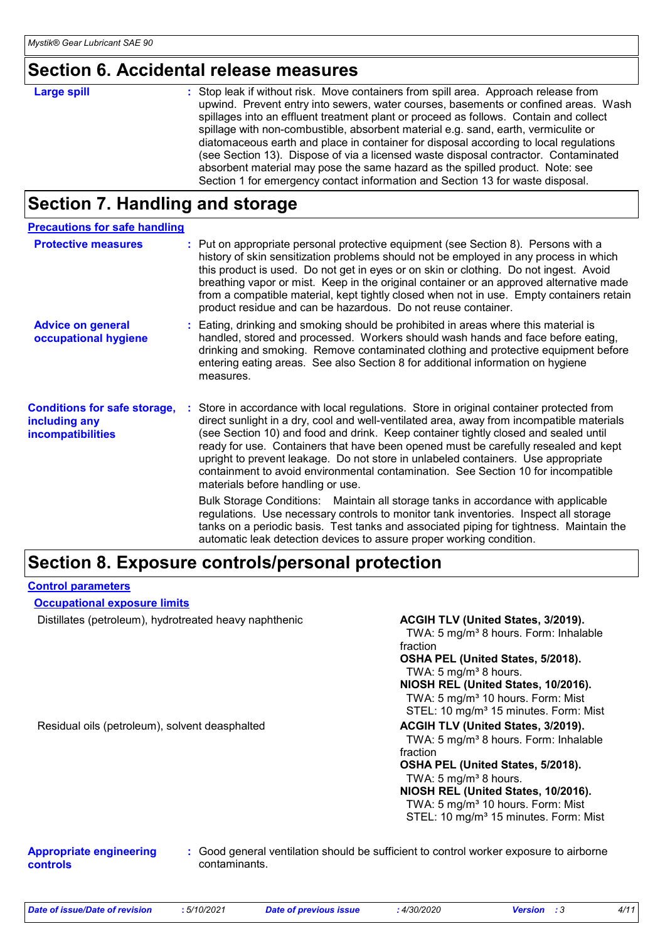### **Section 6. Accidental release measures**

| <b>Large spill</b> | : Stop leak if without risk. Move containers from spill area. Approach release from<br>upwind. Prevent entry into sewers, water courses, basements or confined areas. Wash<br>spillages into an effluent treatment plant or proceed as follows. Contain and collect<br>spillage with non-combustible, absorbent material e.g. sand, earth, vermiculite or<br>diatomaceous earth and place in container for disposal according to local regulations<br>(see Section 13). Dispose of via a licensed waste disposal contractor. Contaminated<br>absorbent material may pose the same hazard as the spilled product. Note: see |
|--------------------|----------------------------------------------------------------------------------------------------------------------------------------------------------------------------------------------------------------------------------------------------------------------------------------------------------------------------------------------------------------------------------------------------------------------------------------------------------------------------------------------------------------------------------------------------------------------------------------------------------------------------|
|                    | Section 1 for emergency contact information and Section 13 for waste disposal.                                                                                                                                                                                                                                                                                                                                                                                                                                                                                                                                             |

### **Section 7. Handling and storage**

| <b>Precautions for safe handling</b>                                             |                                                                                                                                                                                                                                                                                                                                                                                                                                                                                                                                                                                                                                                                                                                                                                                                                                                                                                                                  |
|----------------------------------------------------------------------------------|----------------------------------------------------------------------------------------------------------------------------------------------------------------------------------------------------------------------------------------------------------------------------------------------------------------------------------------------------------------------------------------------------------------------------------------------------------------------------------------------------------------------------------------------------------------------------------------------------------------------------------------------------------------------------------------------------------------------------------------------------------------------------------------------------------------------------------------------------------------------------------------------------------------------------------|
| <b>Protective measures</b>                                                       | : Put on appropriate personal protective equipment (see Section 8). Persons with a<br>history of skin sensitization problems should not be employed in any process in which<br>this product is used. Do not get in eyes or on skin or clothing. Do not ingest. Avoid<br>breathing vapor or mist. Keep in the original container or an approved alternative made<br>from a compatible material, kept tightly closed when not in use. Empty containers retain<br>product residue and can be hazardous. Do not reuse container.                                                                                                                                                                                                                                                                                                                                                                                                     |
| <b>Advice on general</b><br>occupational hygiene                                 | : Eating, drinking and smoking should be prohibited in areas where this material is<br>handled, stored and processed. Workers should wash hands and face before eating,<br>drinking and smoking. Remove contaminated clothing and protective equipment before<br>entering eating areas. See also Section 8 for additional information on hygiene<br>measures.                                                                                                                                                                                                                                                                                                                                                                                                                                                                                                                                                                    |
| <b>Conditions for safe storage,</b><br>including any<br><b>incompatibilities</b> | Store in accordance with local regulations. Store in original container protected from<br>direct sunlight in a dry, cool and well-ventilated area, away from incompatible materials<br>(see Section 10) and food and drink. Keep container tightly closed and sealed until<br>ready for use. Containers that have been opened must be carefully resealed and kept<br>upright to prevent leakage. Do not store in unlabeled containers. Use appropriate<br>containment to avoid environmental contamination. See Section 10 for incompatible<br>materials before handling or use.<br>Bulk Storage Conditions: Maintain all storage tanks in accordance with applicable<br>regulations. Use necessary controls to monitor tank inventories. Inspect all storage<br>tanks on a periodic basis. Test tanks and associated piping for tightness. Maintain the<br>automatic leak detection devices to assure proper working condition. |

### **Section 8. Exposure controls/personal protection**

#### **Control parameters**

**Occupational exposure limits**

Distillates (petroleum), hydrotreated heavy naphthenic

| ACGIH TLV (United States, 3/2019).                |
|---------------------------------------------------|
| TWA: 5 mg/m <sup>3</sup> 8 hours. Form: Inhalable |
| fraction                                          |
| OSHA PEL (United States, 5/2018).                 |
| TWA: 5 mg/m <sup>3</sup> 8 hours.                 |
| NIOSH REL (United States, 10/2016).               |
| TWA: 5 mg/m <sup>3</sup> 10 hours. Form: Mist     |
| STEL: 10 mg/m <sup>3</sup> 15 minutes. Form: Mist |
| <b>ACGIH TLV (United States, 3/2019).</b>         |
| TWA: 5 mg/m <sup>3</sup> 8 hours. Form: Inhalable |
| fraction                                          |
| OSHA PEL (United States, 5/2018).                 |
| TWA: 5 mg/m <sup>3</sup> 8 hours.                 |
| NIOSH REL (United States, 10/2016).               |
| TWA: 5 mg/m <sup>3</sup> 10 hours. Form: Mist     |
| STEL: 10 mg/m <sup>3</sup> 15 minutes. Form: Mist |
|                                                   |

### Residual oils (petroleum), solvent deasphalted

#### **Appropriate engineering controls**

**:** Good general ventilation should be sufficient to control worker exposure to airborne contaminants.

| 5/10/2021<br>4/30/2020<br>Date of issue/Date of revision<br><b>Date of previous issue</b><br>Version |  |  |  |  |  | 4/11 |
|------------------------------------------------------------------------------------------------------|--|--|--|--|--|------|
|------------------------------------------------------------------------------------------------------|--|--|--|--|--|------|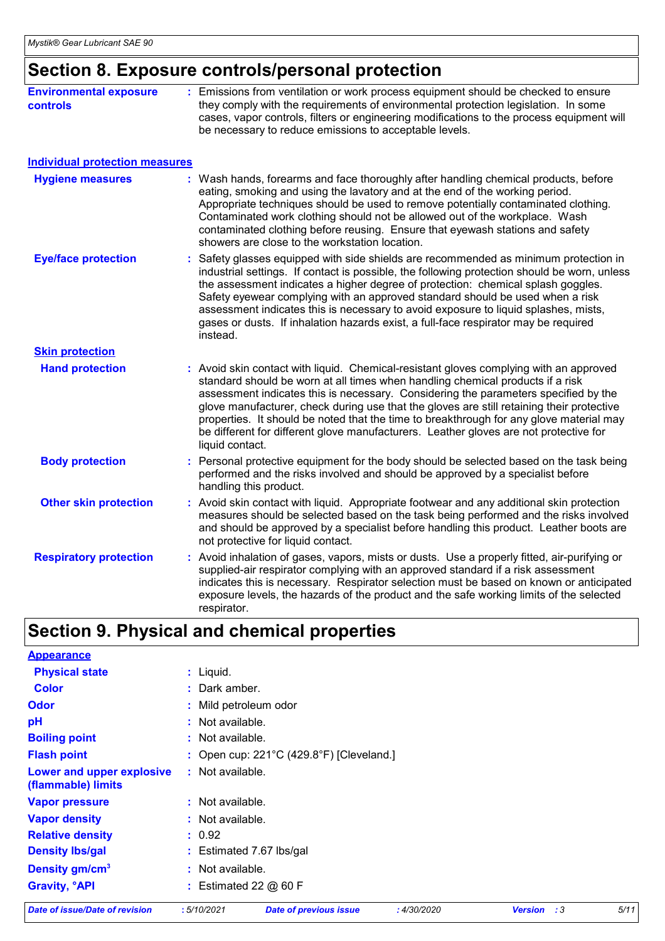### **Section 8. Exposure controls/personal protection**

| <b>Individual protection measures</b><br><b>Hygiene measures</b><br><b>Eye/face protection</b> | : Wash hands, forearms and face thoroughly after handling chemical products, before<br>eating, smoking and using the lavatory and at the end of the working period.<br>Appropriate techniques should be used to remove potentially contaminated clothing.<br>Contaminated work clothing should not be allowed out of the workplace. Wash<br>contaminated clothing before reusing. Ensure that eyewash stations and safety<br>showers are close to the workstation location.<br>: Safety glasses equipped with side shields are recommended as minimum protection in<br>industrial settings. If contact is possible, the following protection should be worn, unless |
|------------------------------------------------------------------------------------------------|---------------------------------------------------------------------------------------------------------------------------------------------------------------------------------------------------------------------------------------------------------------------------------------------------------------------------------------------------------------------------------------------------------------------------------------------------------------------------------------------------------------------------------------------------------------------------------------------------------------------------------------------------------------------|
|                                                                                                |                                                                                                                                                                                                                                                                                                                                                                                                                                                                                                                                                                                                                                                                     |
|                                                                                                |                                                                                                                                                                                                                                                                                                                                                                                                                                                                                                                                                                                                                                                                     |
|                                                                                                | the assessment indicates a higher degree of protection: chemical splash goggles.<br>Safety eyewear complying with an approved standard should be used when a risk<br>assessment indicates this is necessary to avoid exposure to liquid splashes, mists,<br>gases or dusts. If inhalation hazards exist, a full-face respirator may be required<br>instead.                                                                                                                                                                                                                                                                                                         |
| <b>Skin protection</b>                                                                         |                                                                                                                                                                                                                                                                                                                                                                                                                                                                                                                                                                                                                                                                     |
| <b>Hand protection</b>                                                                         | : Avoid skin contact with liquid. Chemical-resistant gloves complying with an approved<br>standard should be worn at all times when handling chemical products if a risk<br>assessment indicates this is necessary. Considering the parameters specified by the<br>glove manufacturer, check during use that the gloves are still retaining their protective<br>properties. It should be noted that the time to breakthrough for any glove material may<br>be different for different glove manufacturers. Leather gloves are not protective for<br>liquid contact.                                                                                                 |
| <b>Body protection</b>                                                                         | : Personal protective equipment for the body should be selected based on the task being<br>performed and the risks involved and should be approved by a specialist before<br>handling this product.                                                                                                                                                                                                                                                                                                                                                                                                                                                                 |
| <b>Other skin protection</b>                                                                   | : Avoid skin contact with liquid. Appropriate footwear and any additional skin protection<br>measures should be selected based on the task being performed and the risks involved<br>and should be approved by a specialist before handling this product. Leather boots are<br>not protective for liquid contact.                                                                                                                                                                                                                                                                                                                                                   |
| <b>Respiratory protection</b>                                                                  | : Avoid inhalation of gases, vapors, mists or dusts. Use a properly fitted, air-purifying or<br>supplied-air respirator complying with an approved standard if a risk assessment<br>indicates this is necessary. Respirator selection must be based on known or anticipated<br>exposure levels, the hazards of the product and the safe working limits of the selected<br>respirator.                                                                                                                                                                                                                                                                               |

### **Section 9. Physical and chemical properties**

| <b>Date of issue/Date of revision</b>           | :5/10/2021              | <b>Date of previous issue</b>                      | : 4/30/2020 | :3<br><b>Version</b> | 5/11 |
|-------------------------------------------------|-------------------------|----------------------------------------------------|-------------|----------------------|------|
| <b>Gravity, <sup>o</sup>API</b>                 | : Estimated 22 $@$ 60 F |                                                    |             |                      |      |
| Density gm/cm <sup>3</sup>                      | : Not available.        |                                                    |             |                      |      |
| <b>Density Ibs/gal</b>                          |                         | : Estimated 7.67 lbs/gal                           |             |                      |      |
| <b>Relative density</b>                         | : 0.92                  |                                                    |             |                      |      |
| <b>Vapor density</b>                            | : Not available.        |                                                    |             |                      |      |
| <b>Vapor pressure</b>                           | : Not available.        |                                                    |             |                      |      |
| Lower and upper explosive<br>(flammable) limits | : Not available.        |                                                    |             |                      |      |
| <b>Flash point</b>                              |                         | : Open cup: $221^{\circ}$ C (429.8°F) [Cleveland.] |             |                      |      |
| <b>Boiling point</b>                            | $:$ Not available.      |                                                    |             |                      |      |
| pH                                              | $:$ Not available.      |                                                    |             |                      |      |
| <b>Odor</b>                                     | : Mild petroleum odor   |                                                    |             |                      |      |
| <b>Color</b>                                    | : Dark amber.           |                                                    |             |                      |      |
| <b>Physical state</b>                           | $:$ Liquid.             |                                                    |             |                      |      |
| <b>Appearance</b>                               |                         |                                                    |             |                      |      |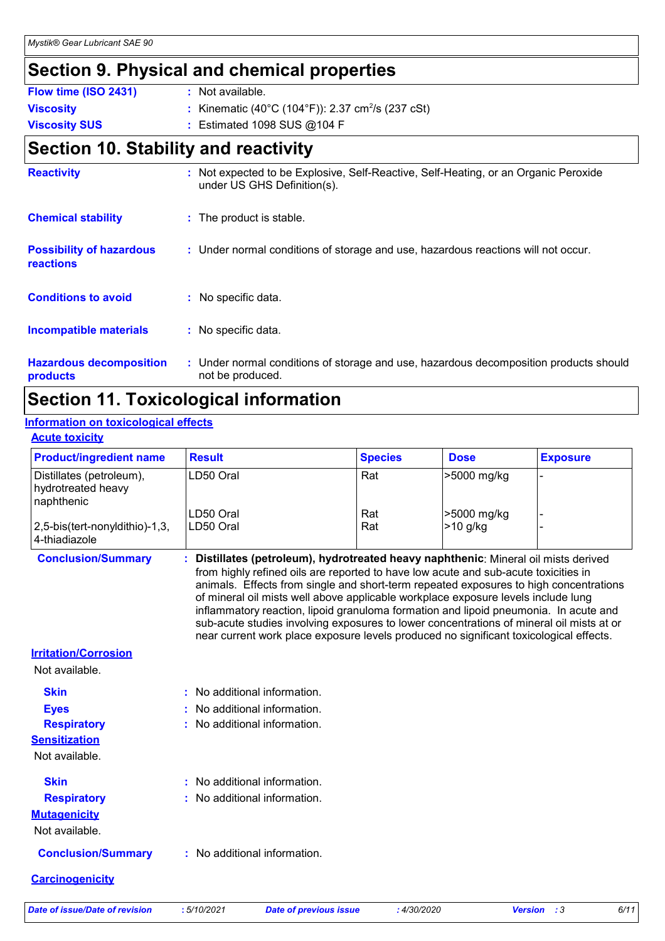### **Section 9. Physical and chemical properties**

| Flow time (ISO 2431) | : Not available.                                              |
|----------------------|---------------------------------------------------------------|
| <b>Viscosity</b>     | : Kinematic (40°C (104°F)): 2.37 cm <sup>2</sup> /s (237 cSt) |
| <b>Viscosity SUS</b> | : Estimated 1098 SUS $@104$ F                                 |

### **Section 10. Stability and reactivity**

| <b>Reactivity</b>                            |    | : Not expected to be Explosive, Self-Reactive, Self-Heating, or an Organic Peroxide<br>under US GHS Definition(s). |
|----------------------------------------------|----|--------------------------------------------------------------------------------------------------------------------|
| <b>Chemical stability</b>                    |    | : The product is stable.                                                                                           |
| <b>Possibility of hazardous</b><br>reactions |    | : Under normal conditions of storage and use, hazardous reactions will not occur.                                  |
| <b>Conditions to avoid</b>                   | ÷. | No specific data.                                                                                                  |
| <b>Incompatible materials</b>                |    | : No specific data.                                                                                                |
| <b>Hazardous decomposition</b><br>products   |    | : Under normal conditions of storage and use, hazardous decomposition products should<br>not be produced.          |

### **Section 11. Toxicological information**

### **Information on toxicological effects**

#### **Acute toxicity**

| <b>Product/ingredient name</b>                               | <b>Result</b> |                                                                                                                                                                                                                                                                                                                                                                                                                                                                                                                                                                                                                                        | <b>Species</b> | <b>Dose</b> | <b>Exposure</b>                 |
|--------------------------------------------------------------|---------------|----------------------------------------------------------------------------------------------------------------------------------------------------------------------------------------------------------------------------------------------------------------------------------------------------------------------------------------------------------------------------------------------------------------------------------------------------------------------------------------------------------------------------------------------------------------------------------------------------------------------------------------|----------------|-------------|---------------------------------|
| Distillates (petroleum),<br>hydrotreated heavy<br>naphthenic | LD50 Oral     |                                                                                                                                                                                                                                                                                                                                                                                                                                                                                                                                                                                                                                        | Rat            | >5000 mg/kg |                                 |
|                                                              | LD50 Oral     |                                                                                                                                                                                                                                                                                                                                                                                                                                                                                                                                                                                                                                        | Rat            | >5000 mg/kg |                                 |
| 2,5-bis(tert-nonyldithio)-1,3,<br>4-thiadiazole              | LD50 Oral     |                                                                                                                                                                                                                                                                                                                                                                                                                                                                                                                                                                                                                                        | Rat            | $>10$ g/kg  |                                 |
| <b>Conclusion/Summary</b>                                    |               | : Distillates (petroleum), hydrotreated heavy naphthenic: Mineral oil mists derived<br>from highly refined oils are reported to have low acute and sub-acute toxicities in<br>animals. Effects from single and short-term repeated exposures to high concentrations<br>of mineral oil mists well above applicable workplace exposure levels include lung<br>inflammatory reaction, lipoid granuloma formation and lipoid pneumonia. In acute and<br>sub-acute studies involving exposures to lower concentrations of mineral oil mists at or<br>near current work place exposure levels produced no significant toxicological effects. |                |             |                                 |
| <b>Irritation/Corrosion</b>                                  |               |                                                                                                                                                                                                                                                                                                                                                                                                                                                                                                                                                                                                                                        |                |             |                                 |
| Not available.                                               |               |                                                                                                                                                                                                                                                                                                                                                                                                                                                                                                                                                                                                                                        |                |             |                                 |
| <b>Skin</b>                                                  |               | : No additional information.                                                                                                                                                                                                                                                                                                                                                                                                                                                                                                                                                                                                           |                |             |                                 |
| <b>Eyes</b>                                                  |               | : No additional information.                                                                                                                                                                                                                                                                                                                                                                                                                                                                                                                                                                                                           |                |             |                                 |
| <b>Respiratory</b>                                           |               | : No additional information.                                                                                                                                                                                                                                                                                                                                                                                                                                                                                                                                                                                                           |                |             |                                 |
| <b>Sensitization</b>                                         |               |                                                                                                                                                                                                                                                                                                                                                                                                                                                                                                                                                                                                                                        |                |             |                                 |
| Not available.                                               |               |                                                                                                                                                                                                                                                                                                                                                                                                                                                                                                                                                                                                                                        |                |             |                                 |
| <b>Skin</b>                                                  |               | : No additional information.                                                                                                                                                                                                                                                                                                                                                                                                                                                                                                                                                                                                           |                |             |                                 |
| <b>Respiratory</b>                                           |               | : No additional information.                                                                                                                                                                                                                                                                                                                                                                                                                                                                                                                                                                                                           |                |             |                                 |
| <b>Mutagenicity</b>                                          |               |                                                                                                                                                                                                                                                                                                                                                                                                                                                                                                                                                                                                                                        |                |             |                                 |
| Not available.                                               |               |                                                                                                                                                                                                                                                                                                                                                                                                                                                                                                                                                                                                                                        |                |             |                                 |
| <b>Conclusion/Summary</b>                                    |               | : No additional information.                                                                                                                                                                                                                                                                                                                                                                                                                                                                                                                                                                                                           |                |             |                                 |
| <b>Carcinogenicity</b>                                       |               |                                                                                                                                                                                                                                                                                                                                                                                                                                                                                                                                                                                                                                        |                |             |                                 |
| Date of issue/Date of revision                               | :5/10/2021    | <b>Date of previous issue</b>                                                                                                                                                                                                                                                                                                                                                                                                                                                                                                                                                                                                          | : 4/30/2020    |             | <b>Version</b><br>6/11<br>- : 3 |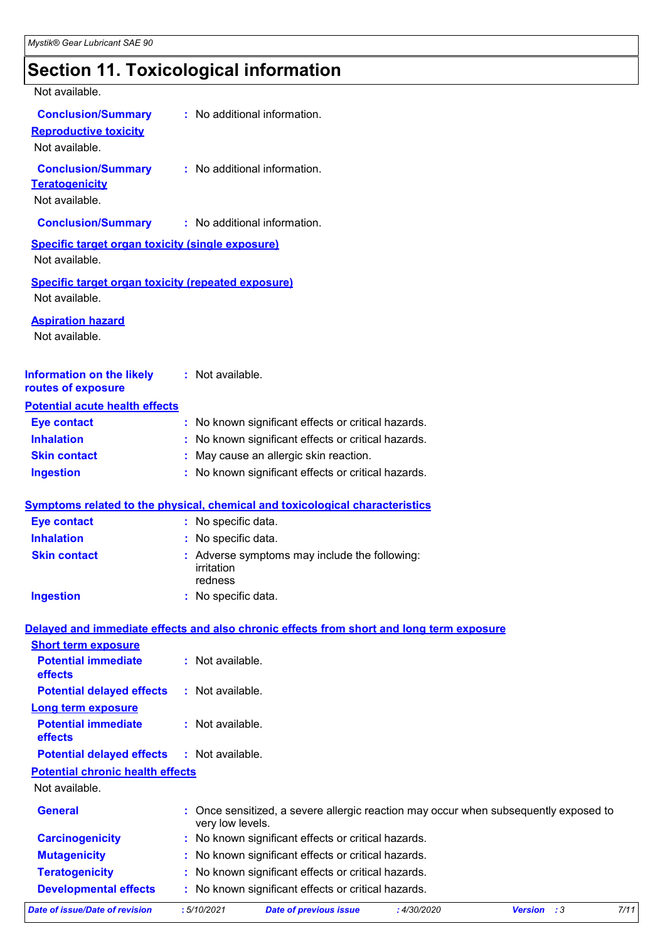### **Section 11. Toxicological information**

| Not available.                                                              |                                                                                                          |
|-----------------------------------------------------------------------------|----------------------------------------------------------------------------------------------------------|
| <b>Conclusion/Summary</b><br><b>Reproductive toxicity</b><br>Not available. | : No additional information.                                                                             |
| <b>Conclusion/Summary</b><br><b>Teratogenicity</b><br>Not available.        | : No additional information.                                                                             |
| <b>Conclusion/Summary</b>                                                   | : No additional information.                                                                             |
| <b>Specific target organ toxicity (single exposure)</b>                     |                                                                                                          |
| Not available.                                                              |                                                                                                          |
| <b>Specific target organ toxicity (repeated exposure)</b><br>Not available. |                                                                                                          |
| <b>Aspiration hazard</b><br>Not available.                                  |                                                                                                          |
| <b>Information on the likely</b><br>routes of exposure                      | : Not available.                                                                                         |
| <b>Potential acute health effects</b>                                       |                                                                                                          |
| <b>Eye contact</b>                                                          | : No known significant effects or critical hazards.                                                      |
| <b>Inhalation</b>                                                           | : No known significant effects or critical hazards.                                                      |
| <b>Skin contact</b>                                                         | : May cause an allergic skin reaction.                                                                   |
| <b>Ingestion</b>                                                            | : No known significant effects or critical hazards.                                                      |
|                                                                             | <b>Symptoms related to the physical, chemical and toxicological characteristics</b>                      |
| <b>Eye contact</b>                                                          | : No specific data.                                                                                      |
| <b>Inhalation</b>                                                           | : No specific data.                                                                                      |
| <b>Skin contact</b>                                                         | : Adverse symptoms may include the following:<br>irritation<br>redness                                   |
| <b>Ingestion</b>                                                            | : No specific data.                                                                                      |
|                                                                             | Delayed and immediate effects and also chronic effects from short and long term exposure                 |
| <b>Short term exposure</b>                                                  |                                                                                                          |
| <b>Potential immediate</b><br>effects                                       | : Not available.                                                                                         |
| <b>Potential delayed effects</b>                                            | : Not available.                                                                                         |
| <b>Long term exposure</b>                                                   |                                                                                                          |
| <b>Potential immediate</b><br>effects                                       | : Not available.                                                                                         |
| <b>Potential delayed effects</b>                                            | : Not available.                                                                                         |
| <b>Potential chronic health effects</b>                                     |                                                                                                          |
| Not available.                                                              |                                                                                                          |
| <b>General</b>                                                              | : Once sensitized, a severe allergic reaction may occur when subsequently exposed to<br>very low levels. |
| <b>Carcinogenicity</b>                                                      | : No known significant effects or critical hazards.                                                      |
| <b>Mutagenicity</b>                                                         | : No known significant effects or critical hazards.                                                      |
| <b>Teratogenicity</b>                                                       | : No known significant effects or critical hazards.                                                      |
| <b>Developmental effects</b>                                                | : No known significant effects or critical hazards.                                                      |
|                                                                             |                                                                                                          |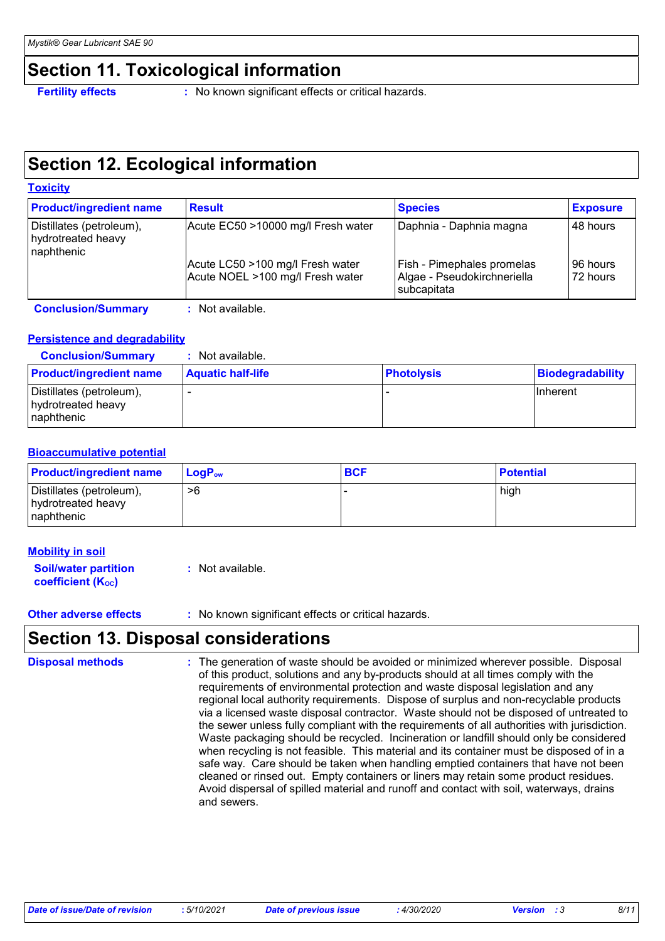### **Section 11. Toxicological information**

**Fertility effects** : No known significant effects or critical hazards.

### **Section 12. Ecological information**

| <b>Toxicity</b>                                              |                                                                      |                                                                          |                      |
|--------------------------------------------------------------|----------------------------------------------------------------------|--------------------------------------------------------------------------|----------------------|
| <b>Product/ingredient name</b>                               | <b>Result</b>                                                        | <b>Species</b>                                                           | <b>Exposure</b>      |
| Distillates (petroleum),<br>hydrotreated heavy<br>naphthenic | Acute EC50 >10000 mg/l Fresh water                                   | Daphnia - Daphnia magna                                                  | 48 hours             |
|                                                              | Acute LC50 >100 mg/l Fresh water<br>Acute NOEL >100 mg/l Fresh water | Fish - Pimephales promelas<br>Algae - Pseudokirchneriella<br>subcapitata | 96 hours<br>72 hours |
| <b>Conclusion/Summary</b>                                    | : Not available.                                                     |                                                                          |                      |

#### **Persistence and degradability**

**Conclusion/Summary :** Not available.

| <b>Product/ingredient name</b>                                | <b>Aquatic half-life</b> | <b>Photolysis</b> | Biodegradability |
|---------------------------------------------------------------|--------------------------|-------------------|------------------|
| Distillates (petroleum),<br>hydrotreated heavy<br>Inaphthenic |                          |                   | <b>Ilnherent</b> |

#### **Bioaccumulative potential**

| <b>Product/ingredient name</b>                               | $\mathsf{LogP}_\mathsf{ow}$ | <b>BCF</b> | <b>Potential</b> |
|--------------------------------------------------------------|-----------------------------|------------|------------------|
| Distillates (petroleum),<br>hydrotreated heavy<br>naphthenic | >6                          |            | high             |

#### **Mobility in soil**

**Soil/water partition coefficient (KOC) :** Not available.

**Other adverse effects** : No known significant effects or critical hazards.

### **Section 13. Disposal considerations**

The generation of waste should be avoided or minimized wherever possible. Disposal of this product, solutions and any by-products should at all times comply with the requirements of environmental protection and waste disposal legislation and any regional local authority requirements. Dispose of surplus and non-recyclable products via a licensed waste disposal contractor. Waste should not be disposed of untreated to the sewer unless fully compliant with the requirements of all authorities with jurisdiction. Waste packaging should be recycled. Incineration or landfill should only be considered when recycling is not feasible. This material and its container must be disposed of in a safe way. Care should be taken when handling emptied containers that have not been cleaned or rinsed out. Empty containers or liners may retain some product residues. Avoid dispersal of spilled material and runoff and contact with soil, waterways, drains and sewers. **Disposal methods :**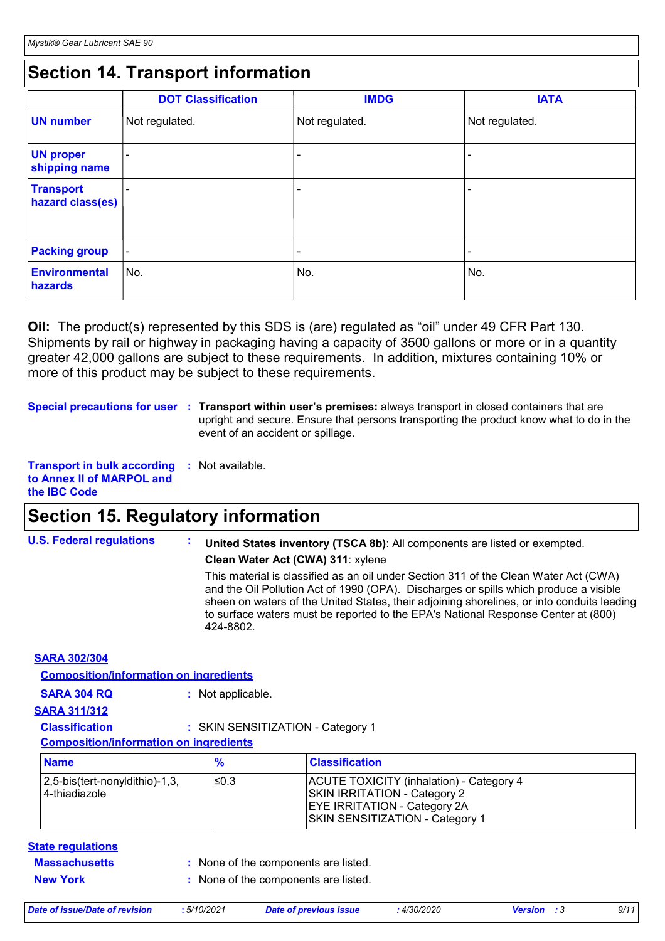### **Section 14. Transport information**

|                                      | <b>DOT Classification</b> | <b>IMDG</b>    | <b>IATA</b>     |
|--------------------------------------|---------------------------|----------------|-----------------|
| <b>UN</b> number                     | Not regulated.            | Not regulated. | Not regulated.  |
| <b>UN proper</b><br>shipping name    |                           |                |                 |
| <b>Transport</b><br>hazard class(es) |                           |                |                 |
| <b>Packing group</b>                 | $\overline{\phantom{a}}$  |                | $\qquad \qquad$ |
| Environmental<br>hazards             | No.                       | No.            | No.             |

**Oil:** The product(s) represented by this SDS is (are) regulated as "oil" under 49 CFR Part 130. Shipments by rail or highway in packaging having a capacity of 3500 gallons or more or in a quantity greater 42,000 gallons are subject to these requirements. In addition, mixtures containing 10% or more of this product may be subject to these requirements.

**Special precautions for user** : Transport within user's premises: always transport in closed containers that are upright and secure. Ensure that persons transporting the product know what to do in the event of an accident or spillage.

**Transport in bulk according :** Not available. **to Annex II of MARPOL and the IBC Code**

### **Section 15. Regulatory information**

| <b>U.S. Federal regulations</b> | United States inventory (TSCA 8b): All components are listed or exempted.<br>Clean Water Act (CWA) 311: xylene                                                                                                                                                                                                                                                                |
|---------------------------------|-------------------------------------------------------------------------------------------------------------------------------------------------------------------------------------------------------------------------------------------------------------------------------------------------------------------------------------------------------------------------------|
|                                 | This material is classified as an oil under Section 311 of the Clean Water Act (CWA)<br>and the Oil Pollution Act of 1990 (OPA). Discharges or spills which produce a visible<br>sheen on waters of the United States, their adjoining shorelines, or into conduits leading<br>to surface waters must be reported to the EPA's National Response Center at (800)<br>424-8802. |
| <b>SARA 302/304</b>             |                                                                                                                                                                                                                                                                                                                                                                               |

| <b>SARA 304 RQ</b><br><b>SARA 311/312</b>                              | : Not applicable. |                                                                                                                                                                  |  |
|------------------------------------------------------------------------|-------------------|------------------------------------------------------------------------------------------------------------------------------------------------------------------|--|
| <b>Classification</b><br><b>Composition/information on ingredients</b> |                   | : SKIN SENSITIZATION - Category 1                                                                                                                                |  |
| <b>Name</b>                                                            | $\frac{9}{6}$     | <b>Classification</b>                                                                                                                                            |  |
| 2,5-bis(tert-nonyldithio)-1,3,<br>4-thiadiazole                        | ≤0.3              | <b>ACUTE TOXICITY (inhalation) - Category 4</b><br><b>SKIN IRRITATION - Category 2</b><br><b>EYE IRRITATION - Category 2A</b><br>SKIN SENSITIZATION - Category 1 |  |

- 
- **New York :** None of the components are listed.

| Date of issue/Date of revision | .5/10/2021 | <b>Date of previous issue</b> | 4/30/2020 | <b>Version</b> : 3 | 9/11 |
|--------------------------------|------------|-------------------------------|-----------|--------------------|------|
|                                |            |                               |           |                    |      |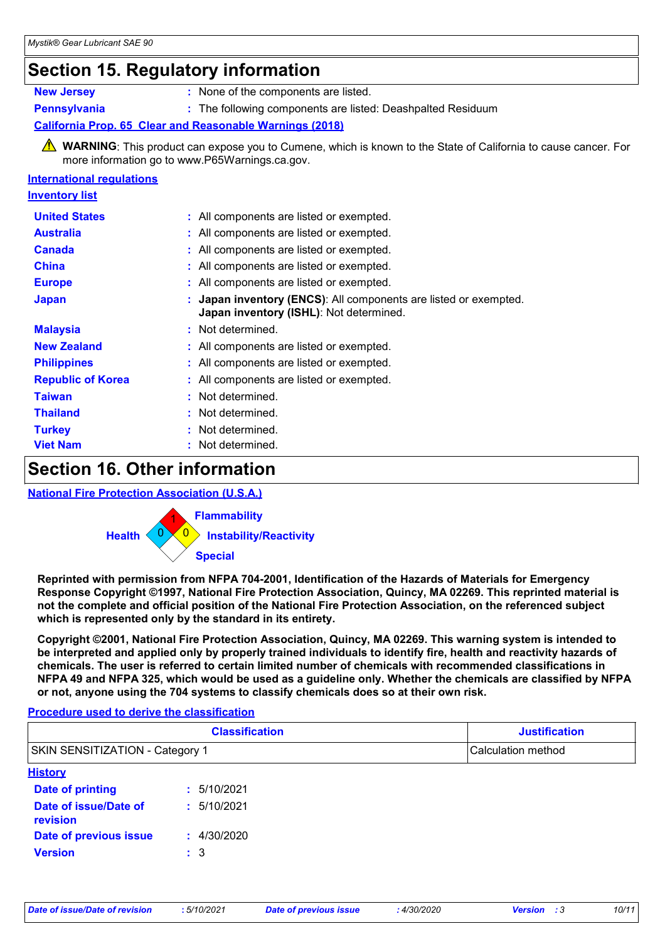### **Section 15. Regulatory information**

| <b>New Jersey</b> |  |
|-------------------|--|
|                   |  |

**:** None of the components are listed.

**Pennsylvania :** The following components are listed: Deashpalted Residuum

#### **California Prop. 65 Clear and Reasonable Warnings (2018)**

**A** WARNING: This product can expose you to Cumene, which is known to the State of California to cause cancer. For more information go to www.P65Warnings.ca.gov.

#### **International regulations**

| <u>Inventory list</u>    |                                                                                                           |
|--------------------------|-----------------------------------------------------------------------------------------------------------|
| <b>United States</b>     | : All components are listed or exempted.                                                                  |
| <b>Australia</b>         | : All components are listed or exempted.                                                                  |
| <b>Canada</b>            | : All components are listed or exempted.                                                                  |
| <b>China</b>             | : All components are listed or exempted.                                                                  |
| <b>Europe</b>            | : All components are listed or exempted.                                                                  |
| <b>Japan</b>             | Japan inventory (ENCS): All components are listed or exempted.<br>Japan inventory (ISHL): Not determined. |
| <b>Malaysia</b>          | : Not determined.                                                                                         |
| <b>New Zealand</b>       | : All components are listed or exempted.                                                                  |
| <b>Philippines</b>       | : All components are listed or exempted.                                                                  |
| <b>Republic of Korea</b> | : All components are listed or exempted.                                                                  |
| <b>Taiwan</b>            | : Not determined.                                                                                         |
| <b>Thailand</b>          | : Not determined.                                                                                         |
| <b>Turkey</b>            | : Not determined.                                                                                         |
| <b>Viet Nam</b>          | : Not determined.                                                                                         |

### **Section 16. Other information**

#### **National Fire Protection Association (U.S.A.)**



**Reprinted with permission from NFPA 704-2001, Identification of the Hazards of Materials for Emergency Response Copyright ©1997, National Fire Protection Association, Quincy, MA 02269. This reprinted material is not the complete and official position of the National Fire Protection Association, on the referenced subject which is represented only by the standard in its entirety.**

**Copyright ©2001, National Fire Protection Association, Quincy, MA 02269. This warning system is intended to be interpreted and applied only by properly trained individuals to identify fire, health and reactivity hazards of chemicals. The user is referred to certain limited number of chemicals with recommended classifications in NFPA 49 and NFPA 325, which would be used as a guideline only. Whether the chemicals are classified by NFPA or not, anyone using the 704 systems to classify chemicals does so at their own risk.**

#### **Procedure used to derive the classification**

|                                        | <b>Classification</b> | <b>Justification</b> |  |
|----------------------------------------|-----------------------|----------------------|--|
| <b>SKIN SENSITIZATION - Category 1</b> |                       | Calculation method   |  |
| <b>History</b>                         |                       |                      |  |
| <b>Date of printing</b>                | : 5/10/2021           |                      |  |
| Date of issue/Date of<br>revision      | : 5/10/2021           |                      |  |
| Date of previous issue                 | : 4/30/2020           |                      |  |
| <b>Version</b>                         | $\pm$ 3               |                      |  |